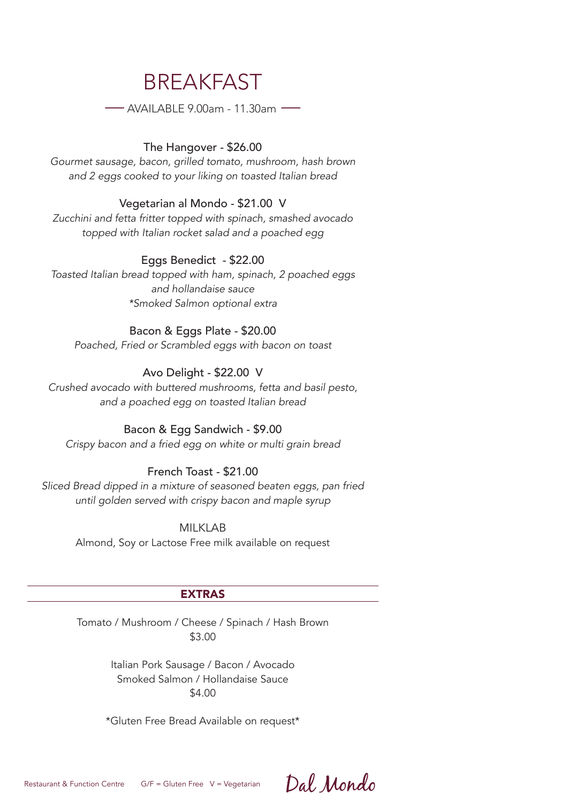# BREAKFAST

—AVAILABLE 9.00am - 11.30am —

#### The Hangover - \$26.00

*Gourmet sausage, bacon, grilled tomato, mushroom, hash brown and 2 eggs cooked to your liking on toasted Italian bread*

#### Vegetarian al Mondo - \$21.00 V

*Zucchini and fetta fritter topped with spinach, smashed avocado topped with Italian rocket salad and a poached egg*

#### Eggs Benedict - \$22.00

*Toasted Italian bread topped with ham, spinach, 2 poached eggs and hollandaise sauce \*Smoked Salmon optional extra*

#### Bacon & Eggs Plate - \$20.00

*Poached, Fried or Scrambled eggs with bacon on toast*

#### Avo Delight - \$22.00 V

*Crushed avocado with buttered mushrooms, fetta and basil pesto, and a poached egg on toasted Italian bread*

#### Bacon & Egg Sandwich - \$9.00

*Crispy bacon and a fried egg on white or multi grain bread*

#### French Toast - \$21.00

*Sliced Bread dipped in a mixture of seasoned beaten eggs, pan fried until golden served with crispy bacon and maple syrup*

MII KI AR

Almond, Soy or Lactose Free milk available on request

#### EXTRAS

Tomato / Mushroom / Cheese / Spinach / Hash Brown \$3.00

> Italian Pork Sausage / Bacon / Avocado Smoked Salmon / Hollandaise Sauce \$4.00

\*Gluten Free Bread Available on request\*

Dal Mondo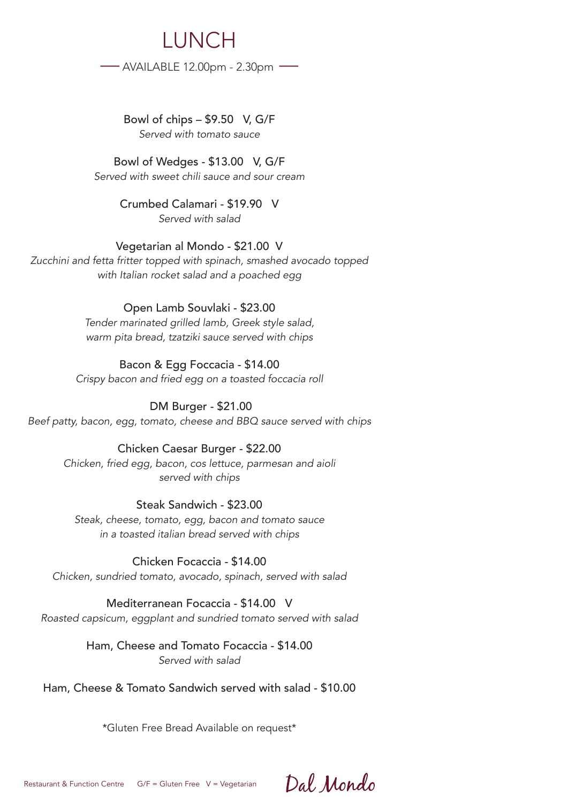LUNCH —AVAILABLE 12.00pm - 2.30pm —

> Bowl of chips – \$9.50 V, G/F *Served with tomato sauce*

Bowl of Wedges - \$13.00 V, G/F *Served with sweet chili sauce and sour cream*

> Crumbed Calamari - \$19.90 V *Served with salad*

Vegetarian al Mondo - \$21.00 V *Zucchini and fetta fritter topped with spinach, smashed avocado topped with Italian rocket salad and a poached egg*

#### Open Lamb Souvlaki - \$23.00 *Tender marinated grilled lamb, Greek style salad, warm pita bread, tzatziki sauce served with chips*

Bacon & Egg Foccacia - \$14.00 *Crispy bacon and fried egg on a toasted foccacia roll*

 DM Burger - \$21.00 *Beef patty, bacon, egg, tomato, cheese and BBQ sauce served with chips*

#### Chicken Caesar Burger - \$22.00 *Chicken, fried egg, bacon, cos lettuce, parmesan and aioli served with chips*

# Steak Sandwich - \$23.00

*Steak, cheese, tomato, egg, bacon and tomato sauce in a toasted italian bread served with chips* 

# Chicken Focaccia - \$14.00

*Chicken, sundried tomato, avocado, spinach, served with salad* 

# Mediterranean Focaccia - \$14.00 V

*Roasted capsicum, eggplant and sundried tomato served with salad*

# Ham, Cheese and Tomato Focaccia - \$14.00 *Served with salad*

# Ham, Cheese & Tomato Sandwich served with salad - \$10.00

\*Gluten Free Bread Available on request\*

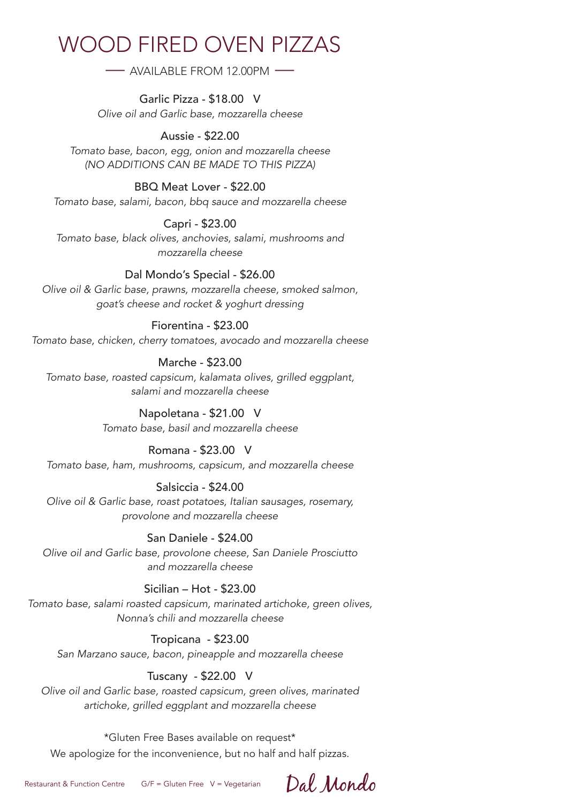# WOOD FIRED OVEN PIZZAS

— AVAILABLE FROM 12.00PM —

Garlic Pizza - \$18.00 V *Olive oil and Garlic base, mozzarella cheese*

# Aussie - \$22.00

*Tomato base, bacon, egg, onion and mozzarella cheese (NO ADDITIONS CAN BE MADE TO THIS PIZZA)*

# BBQ Meat Lover - \$22.00

*Tomato base, salami, bacon, bbq sauce and mozzarella cheese*

# Capri - \$23.00

*Tomato base, black olives, anchovies, salami, mushrooms and mozzarella cheese*

# Dal Mondo's Special - \$26.00

*Olive oil & Garlic base, prawns, mozzarella cheese, smoked salmon, goat's cheese and rocket & yoghurt dressing*

# Fiorentina - \$23.00

*Tomato base, chicken, cherry tomatoes, avocado and mozzarella cheese*

### Marche - \$23.00

*Tomato base, roasted capsicum, kalamata olives, grilled eggplant, salami and mozzarella cheese*

# Napoletana - \$21.00 V

*Tomato base, basil and mozzarella cheese*

### Romana - \$23.00 V

*Tomato base, ham, mushrooms, capsicum, and mozzarella cheese*

# Salsiccia - \$24.00

*Olive oil & Garlic base, roast potatoes, Italian sausages, rosemary, provolone and mozzarella cheese*

# San Daniele - \$24.00

*Olive oil and Garlic base, provolone cheese, San Daniele Prosciutto and mozzarella cheese*

### Sicilian – Hot - \$23.00

*Tomato base, salami roasted capsicum, marinated artichoke, green olives, Nonna's chili and mozzarella cheese*

### Tropicana - \$23.00

*San Marzano sauce, bacon, pineapple and mozzarella cheese*

# Tuscany - \$22.00 V

*Olive oil and Garlic base, roasted capsicum, green olives, marinated artichoke, grilled eggplant and mozzarella cheese*

### \*Gluten Free Bases available on request\*

We apologize for the inconvenience, but no half and half pizzas.

Dal Mondo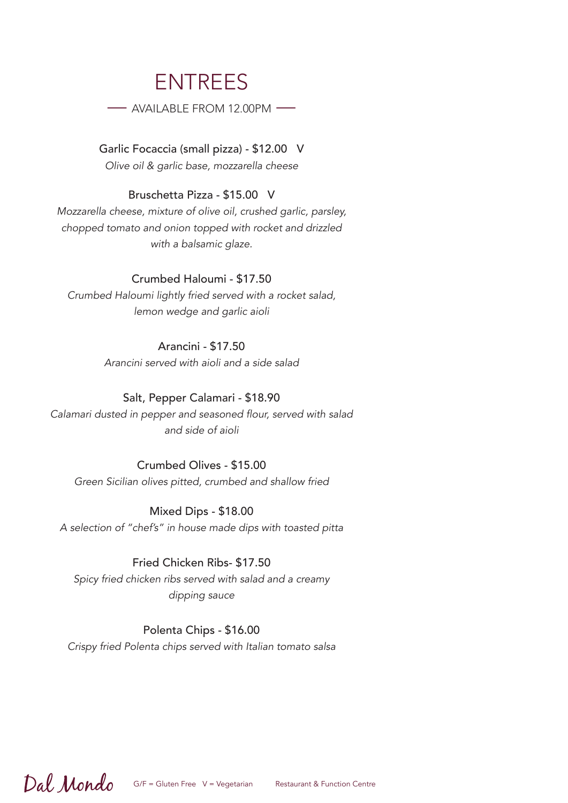# ENTREES

— AVAILABLE FROM 12.00PM —

Garlic Focaccia (small pizza) - \$12.00 V *Olive oil & garlic base, mozzarella cheese*

#### Bruschetta Pizza - \$15.00 V

*Mozzarella cheese, mixture of olive oil, crushed garlic, parsley, chopped tomato and onion topped with rocket and drizzled with a balsamic glaze.*

#### Crumbed Haloumi - \$17.50

*Crumbed Haloumi lightly fried served with a rocket salad, lemon wedge and garlic aioli*

#### Arancini - \$17.50

*Arancini served with aioli and a side salad*

#### Salt, Pepper Calamari - \$18.90

Calamari dusted in pepper and seasoned flour, served with salad *and side of aioli*

#### Crumbed Olives - \$15.00

*Green Sicilian olives pitted, crumbed and shallow fried*

#### Mixed Dips - \$18.00

*A selection of "chef's" in house made dips with toasted pitta*

#### Fried Chicken Ribs- \$17.50

*Spicy fried chicken ribs served with salad and a creamy dipping sauce*

#### Polenta Chips - \$16.00

*Crispy fried Polenta chips served with Italian tomato salsa*

# Dal Mondo

 $G/F = Gluten Free \ V = Vegetarian$  Restaurant & Function Centre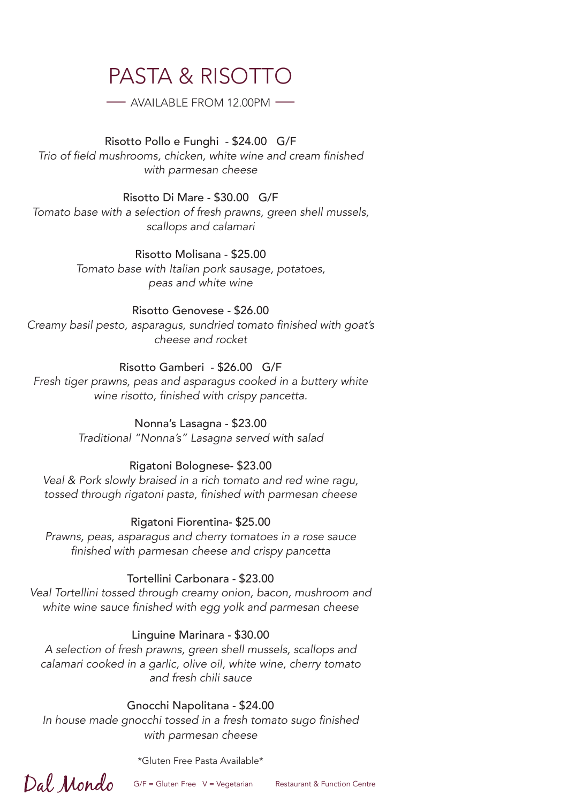# PASTA & RISOTTO

— AVAILABLE FROM 12.00PM —

Risotto Pollo e Funghi - \$24.00 G/F Trio of field mushrooms, chicken, white wine and cream finished *with parmesan cheese*

Risotto Di Mare - \$30.00 G/F *Tomato base with a selection of fresh prawns, green shell mussels, scallops and calamari*

> Risotto Molisana - \$25.00 *Tomato base with Italian pork sausage, potatoes, peas and white wine*

#### Risotto Genovese - \$26.00 Creamy basil pesto, asparagus, sundried tomato finished with goat's *cheese and rocket*

# Risotto Gamberi - \$26.00 G/F

*Fresh tiger prawns, peas and asparagus cooked in a buttery white*  wine risotto, finished with crispy pancetta.

> Nonna's Lasagna - \$23.00 *Traditional "Nonna's" Lasagna served with salad*

# Rigatoni Bolognese- \$23.00

*Veal & Pork slowly braised in a rich tomato and red wine ragu,*  tossed through rigatoni pasta, finished with parmesan cheese

Rigatoni Fiorentina- \$25.00

*Prawns, peas, asparagus and cherry tomatoes in a rose sauce*  finished with parmesan cheese and crispy pancetta

# Tortellini Carbonara - \$23.00

*Veal Tortellini tossed through creamy onion, bacon, mushroom and*  white wine sauce finished with egg yolk and parmesan cheese

# Linguine Marinara - \$30.00

*A selection of fresh prawns, green shell mussels, scallops and calamari cooked in a garlic, olive oil, white wine, cherry tomato and fresh chili sauce*

# Gnocchi Napolitana - \$24.00

In house made gnocchi tossed in a fresh tomato sugo finished *with parmesan cheese*

\*Gluten Free Pasta Available\*

Dal Mondo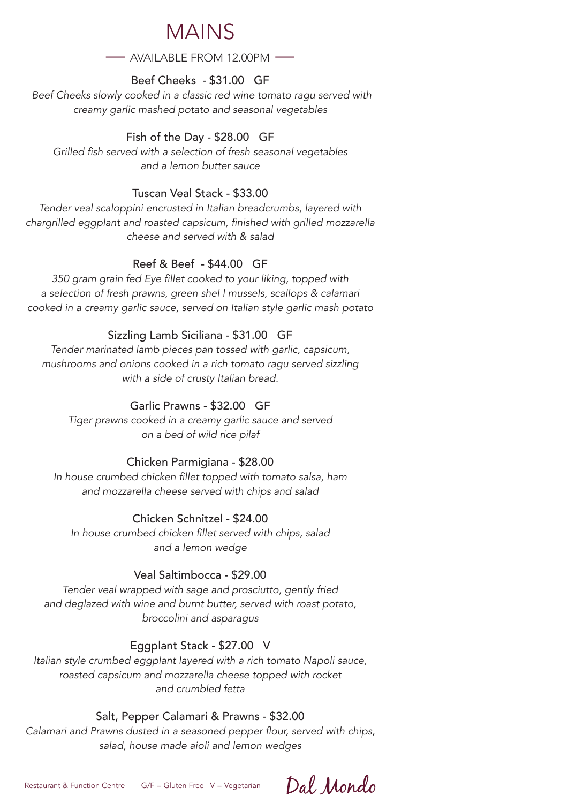# **MAINS**

 $-$  AVAILABLE FROM 12.00PM  $-$ 

## Beef Cheeks - \$31.00 GF

 *Beef Cheeks slowly cooked in a classic red wine tomato ragu served with creamy garlic mashed potato and seasonal vegetables*

## Fish of the Day - \$28.00 GF

Grilled fish served with a selection of fresh seasonal vegetables *and a lemon butter sauce*

### Tuscan Veal Stack - \$33.00

*Tender veal scaloppini encrusted in Italian breadcrumbs, layered with*  chargrilled eggplant and roasted capsicum, finished with grilled mozzarella *cheese and served with & salad*

### Reef & Beef - \$44.00 GF

350 gram grain fed Eye fillet cooked to your liking, topped with *a selection of fresh prawns, green shel l mussels, scallops & calamari cooked in a creamy garlic sauce, served on Italian style garlic mash potato*

### Sizzling Lamb Siciliana - \$31.00 GF

*Tender marinated lamb pieces pan tossed with garlic, capsicum, mushrooms and onions cooked in a rich tomato ragu served sizzling with a side of crusty Italian bread.*

## Garlic Prawns - \$32.00 GF

*Tiger prawns cooked in a creamy garlic sauce and served on a bed of wild rice pilaf*

### Chicken Parmigiana - \$28.00

In house crumbed chicken fillet topped with tomato salsa, ham *and mozzarella cheese served with chips and salad*

#### Chicken Schnitzel - \$24.00

In house crumbed chicken fillet served with chips, salad *and a lemon wedge*

### Veal Saltimbocca - \$29.00

*Tender veal wrapped with sage and prosciutto, gently fried and deglazed with wine and burnt butter, served with roast potato, broccolini and asparagus*

### Eggplant Stack - \$27.00 V

*Italian style crumbed eggplant layered with a rich tomato Napoli sauce, roasted capsicum and mozzarella cheese topped with rocket and crumbled fetta*

#### Salt, Pepper Calamari & Prawns - \$32.00

Calamari and Prawns dusted in a seasoned pepper flour, served with chips, *salad, house made aioli and lemon wedges*

Dal Mondo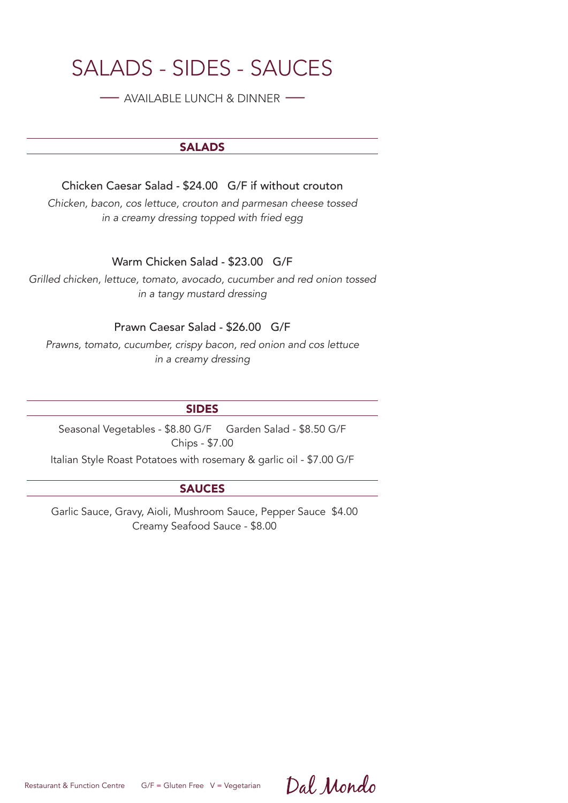# SALADS - SIDES - SAUCES

— AVAILABLE LUNCH & DINNER —

#### **SALADS**

Chicken Caesar Salad - \$24.00 G/F if without crouton

*Chicken, bacon, cos lettuce, crouton and parmesan cheese tossed in a creamy dressing topped with fried egg* 

Warm Chicken Salad - \$23.00 G/F

*Grilled chicken, lettuce, tomato, avocado, cucumber and red onion tossed in a tangy mustard dressing* 

#### Prawn Caesar Salad - \$26.00 G/F

*Prawns, tomato, cucumber, crispy bacon, red onion and cos lettuce in a creamy dressing* 

#### SIDES

Seasonal Vegetables - \$8.80 G/F Garden Salad - \$8.50 G/F Chips - \$7.00

Italian Style Roast Potatoes with rosemary & garlic oil - \$7.00 G/F

#### SAUCES

Garlic Sauce, Gravy, Aioli, Mushroom Sauce, Pepper Sauce \$4.00 Creamy Seafood Sauce - \$8.00

Restaurant & Function Centre G/F = Gluten Free V = Vegetarian

Dal Mondo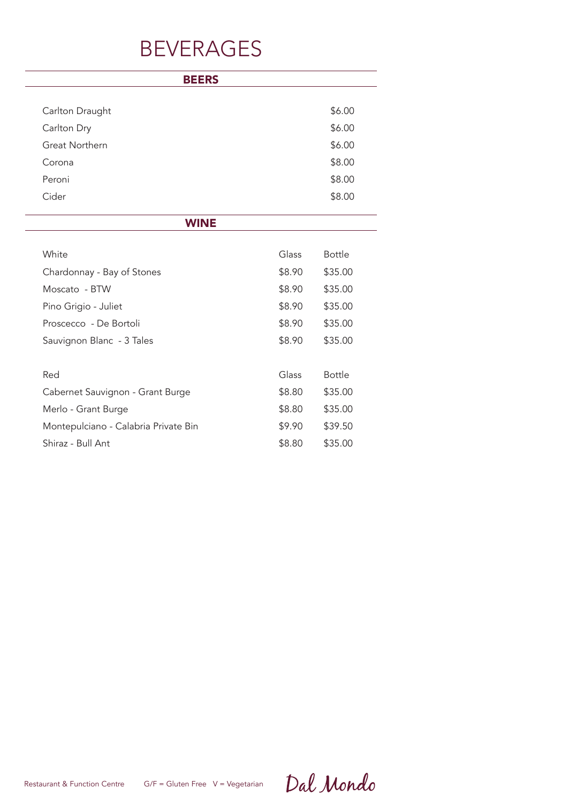# BEVERAGES

| <b>BEERS</b>                         |        |               |
|--------------------------------------|--------|---------------|
| Carlton Draught                      |        | \$6.00        |
| Carlton Dry                          |        | \$6.00        |
| Great Northern                       |        | \$6.00        |
| Corona                               |        | \$8.00        |
| Peroni                               |        | \$8.00        |
| Cider                                |        | \$8.00        |
| <b>WINE</b>                          |        |               |
| White                                | Glass  | <b>Bottle</b> |
| Chardonnay - Bay of Stones           | \$8.90 | \$35.00       |
| Moscato - BTW                        | \$8.90 | \$35.00       |
| Pino Grigio - Juliet                 | \$8.90 | \$35.00       |
| Proscecco - De Bortoli               | \$8.90 | \$35.00       |
| Sauvignon Blanc - 3 Tales            | \$8.90 | \$35.00       |
| Red                                  | Glass  | <b>Bottle</b> |
| Cabernet Sauvignon - Grant Burge     | \$8.80 | \$35.00       |
| Merlo - Grant Burge                  | \$8.80 | \$35.00       |
| Montepulciano - Calabria Private Bin | \$9.90 | \$39.50       |
| Shiraz - Bull Ant                    | \$8.80 | \$35.00       |

Restaurant & Function Centre G/F = Gluten Free V = Vegetarian

Dal Mondo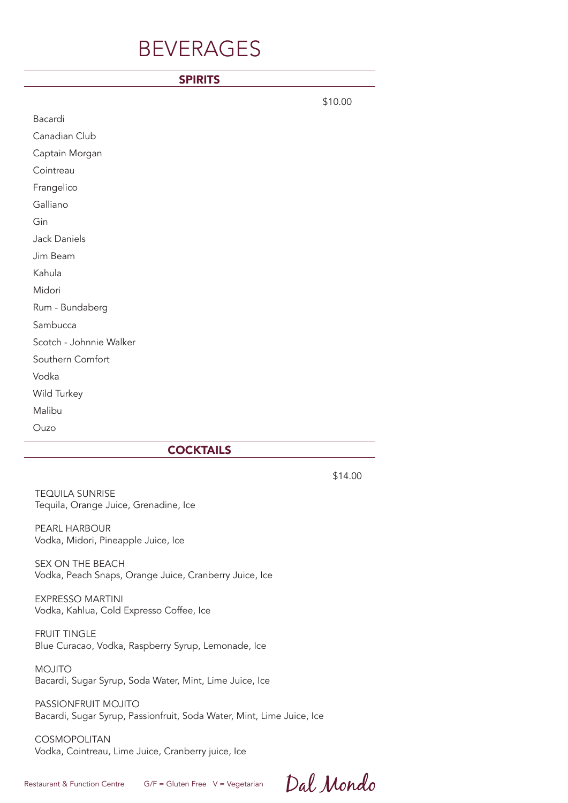# BEVERAGES

#### SPIRITS

|                         | \$10.00 |
|-------------------------|---------|
| Bacardi                 |         |
| Canadian Club           |         |
| Captain Morgan          |         |
| Cointreau               |         |
| Frangelico              |         |
| Galliano                |         |
| Gin                     |         |
| Jack Daniels            |         |
| Jim Beam                |         |
| Kahula                  |         |
| Midori                  |         |
| Rum - Bundaberg         |         |
| Sambucca                |         |
| Scotch - Johnnie Walker |         |
| Southern Comfort        |         |
| Vodka                   |         |
| Wild Turkey             |         |
| Malibu                  |         |
| Ouzo                    |         |

#### **COCKTAILS**

\$14.00

TEQUILA SUNRISE Tequila, Orange Juice, Grenadine, Ice

PEARL HARBOUR Vodka, Midori, Pineapple Juice, Ice

SEX ON THE BEACH Vodka, Peach Snaps, Orange Juice, Cranberry Juice, Ice

EXPRESSO MARTINI Vodka, Kahlua, Cold Expresso Coffee, Ice

FRUIT TINGLE Blue Curacao, Vodka, Raspberry Syrup, Lemonade, Ice

MOJITO Bacardi, Sugar Syrup, Soda Water, Mint, Lime Juice, Ice

PASSIONFRUIT MOJITO Bacardi, Sugar Syrup, Passionfruit, Soda Water, Mint, Lime Juice, Ice

COSMOPOLITAN Vodka, Cointreau, Lime Juice, Cranberry juice, Ice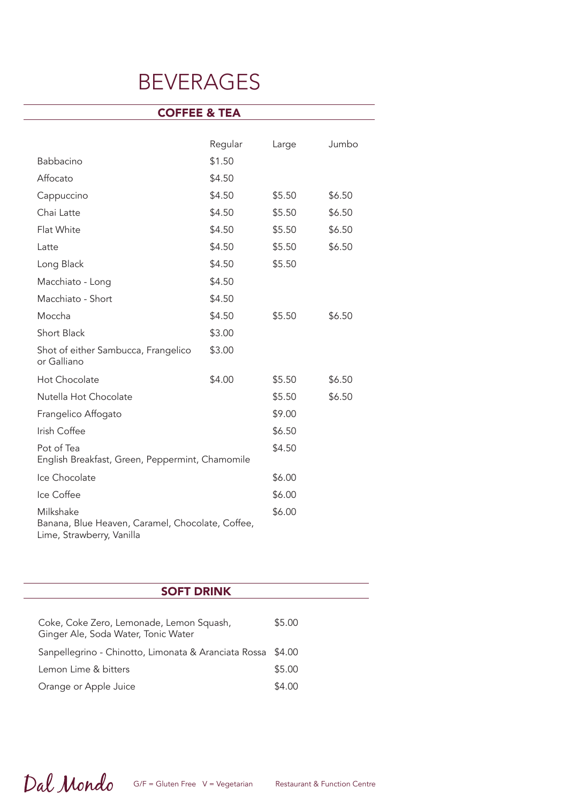# BEVERAGES

| <b>COFFEE &amp; TEA</b>                                                                    |         |        |        |  |  |
|--------------------------------------------------------------------------------------------|---------|--------|--------|--|--|
|                                                                                            |         |        |        |  |  |
|                                                                                            | Regular | Large  | Jumbo  |  |  |
| <b>Babbacino</b>                                                                           | \$1.50  |        |        |  |  |
| Affocato                                                                                   | \$4.50  |        |        |  |  |
| Cappuccino                                                                                 | \$4.50  | \$5.50 | \$6.50 |  |  |
| Chai Latte                                                                                 | \$4.50  | \$5.50 | \$6.50 |  |  |
| Flat White                                                                                 | \$4.50  | \$5.50 | \$6.50 |  |  |
| Latte                                                                                      | \$4.50  | \$5.50 | \$6.50 |  |  |
| Long Black                                                                                 | \$4.50  | \$5.50 |        |  |  |
| Macchiato - Long                                                                           | \$4.50  |        |        |  |  |
| Macchiato - Short                                                                          | \$4.50  |        |        |  |  |
| Moccha                                                                                     | \$4.50  | \$5.50 | \$6.50 |  |  |
| Short Black                                                                                | \$3.00  |        |        |  |  |
| Shot of either Sambucca, Frangelico<br>or Galliano                                         | \$3.00  |        |        |  |  |
| Hot Chocolate                                                                              | \$4.00  | \$5.50 | \$6.50 |  |  |
| Nutella Hot Chocolate                                                                      |         | \$5.50 | \$6.50 |  |  |
| Frangelico Affogato                                                                        |         | \$9.00 |        |  |  |
| Irish Coffee                                                                               |         | \$6.50 |        |  |  |
| Pot of Tea<br>English Breakfast, Green, Peppermint, Chamomile                              |         | \$4.50 |        |  |  |
| Ice Chocolate                                                                              |         | \$6.00 |        |  |  |
| Ice Coffee                                                                                 |         | \$6.00 |        |  |  |
| Milkshake<br>Banana, Blue Heaven, Caramel, Chocolate, Coffee,<br>Lime, Strawberry, Vanilla |         | \$6.00 |        |  |  |

| <b>SOFT DRINK</b>                                                               |        |  |  |  |
|---------------------------------------------------------------------------------|--------|--|--|--|
|                                                                                 |        |  |  |  |
| Coke, Coke Zero, Lemonade, Lemon Squash,<br>Ginger Ale, Soda Water, Tonic Water | \$5.00 |  |  |  |
| Sanpellegrino - Chinotto, Limonata & Aranciata Rossa \$4.00                     |        |  |  |  |
| Lemon Lime & bitters                                                            | \$5.00 |  |  |  |
| Orange or Apple Juice                                                           | \$4.00 |  |  |  |